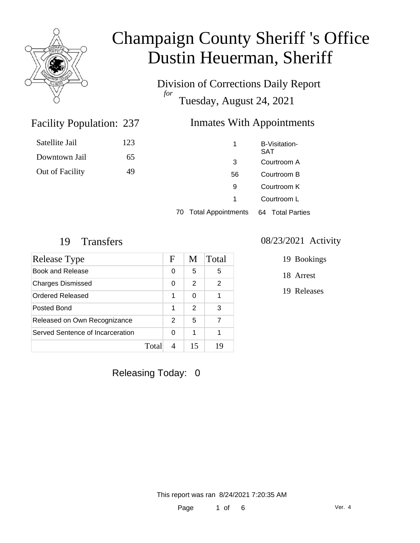

Satellite Jail

Downtown Jail

Out of Facility

# Champaign County Sheriff 's Office Dustin Heuerman, Sheriff

Division of Corrections Daily Report *for* Tuesday, August 24, 2021

#### Inmates With Appointments

| 123 | 1  | B-Visitation-<br><b>SAT</b> |
|-----|----|-----------------------------|
| 65  | 3  | Courtroom A                 |
| 49  | 56 | Courtroom B                 |
|     | 9  | Courtroom K                 |
|     | 1  | Courtroom L                 |
|     |    |                             |

70 Total Appointments 64 Total Parties

Facility Population: 237

| Release Type                     |       | F | M             | Total         |
|----------------------------------|-------|---|---------------|---------------|
| <b>Book and Release</b>          |       | 0 | 5             | 5             |
| <b>Charges Dismissed</b>         |       | 0 | $\mathcal{P}$ | $\mathcal{P}$ |
| Ordered Released                 |       | 1 | 0             |               |
| Posted Bond                      |       | 1 | 2             | 3             |
| Released on Own Recognizance     |       | 2 | 5             | 7             |
| Served Sentence of Incarceration |       | 0 | 1             |               |
|                                  | Total |   | 15            | 19            |

19 Transfers 08/23/2021 Activity

- 19 Bookings
- 18 Arrest
- 19 Releases

Releasing Today: 0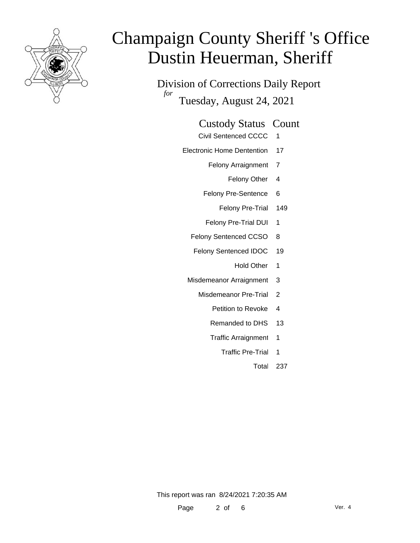

Division of Corrections Daily Report *for* Tuesday, August 24, 2021

#### Custody Status Count

- Civil Sentenced CCCC 1
- Electronic Home Dentention 17
	- Felony Arraignment 7
		- Felony Other 4
	- Felony Pre-Sentence 6
		- Felony Pre-Trial 149
	- Felony Pre-Trial DUI 1
	- Felony Sentenced CCSO 8
	- Felony Sentenced IDOC 19
		- Hold Other 1
	- Misdemeanor Arraignment 3
		- Misdemeanor Pre-Trial 2
			- Petition to Revoke 4
			- Remanded to DHS 13
			- Traffic Arraignment 1
				- Traffic Pre-Trial 1
					- Total 237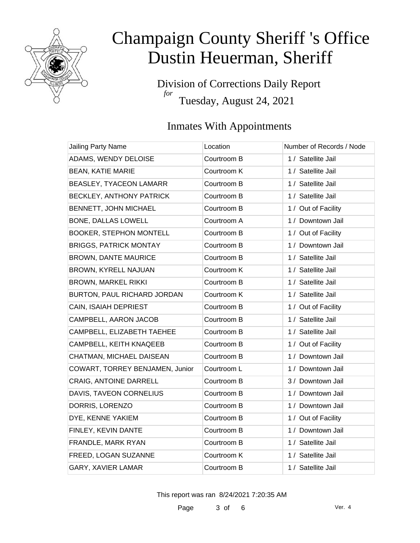

Division of Corrections Daily Report *for* Tuesday, August 24, 2021

### Inmates With Appointments

| Jailing Party Name              | Location    | Number of Records / Node |
|---------------------------------|-------------|--------------------------|
| ADAMS, WENDY DELOISE            | Courtroom B | 1 / Satellite Jail       |
| <b>BEAN, KATIE MARIE</b>        | Courtroom K | 1 / Satellite Jail       |
| BEASLEY, TYACEON LAMARR         | Courtroom B | 1 / Satellite Jail       |
| BECKLEY, ANTHONY PATRICK        | Courtroom B | 1 / Satellite Jail       |
| BENNETT, JOHN MICHAEL           | Courtroom B | 1 / Out of Facility      |
| <b>BONE, DALLAS LOWELL</b>      | Courtroom A | 1 / Downtown Jail        |
| <b>BOOKER, STEPHON MONTELL</b>  | Courtroom B | 1 / Out of Facility      |
| <b>BRIGGS, PATRICK MONTAY</b>   | Courtroom B | 1 / Downtown Jail        |
| <b>BROWN, DANTE MAURICE</b>     | Courtroom B | 1 / Satellite Jail       |
| BROWN, KYRELL NAJUAN            | Courtroom K | 1 / Satellite Jail       |
| <b>BROWN, MARKEL RIKKI</b>      | Courtroom B | 1 / Satellite Jail       |
| BURTON, PAUL RICHARD JORDAN     | Courtroom K | 1 / Satellite Jail       |
| CAIN, ISAIAH DEPRIEST           | Courtroom B | 1 / Out of Facility      |
| CAMPBELL, AARON JACOB           | Courtroom B | 1 / Satellite Jail       |
| CAMPBELL, ELIZABETH TAEHEE      | Courtroom B | 1 / Satellite Jail       |
| CAMPBELL, KEITH KNAQEEB         | Courtroom B | 1 / Out of Facility      |
| CHATMAN, MICHAEL DAISEAN        | Courtroom B | 1 / Downtown Jail        |
| COWART, TORREY BENJAMEN, Junior | Courtroom L | 1 / Downtown Jail        |
| CRAIG, ANTOINE DARRELL          | Courtroom B | 3 / Downtown Jail        |
| DAVIS, TAVEON CORNELIUS         | Courtroom B | 1 / Downtown Jail        |
| DORRIS, LORENZO                 | Courtroom B | 1 / Downtown Jail        |
| DYE, KENNE YAKIEM               | Courtroom B | 1 / Out of Facility      |
| FINLEY, KEVIN DANTE             | Courtroom B | 1 / Downtown Jail        |
| FRANDLE, MARK RYAN              | Courtroom B | 1 / Satellite Jail       |
| FREED, LOGAN SUZANNE            | Courtroom K | 1 / Satellite Jail       |
| GARY, XAVIER LAMAR              | Courtroom B | 1 / Satellite Jail       |

This report was ran 8/24/2021 7:20:35 AM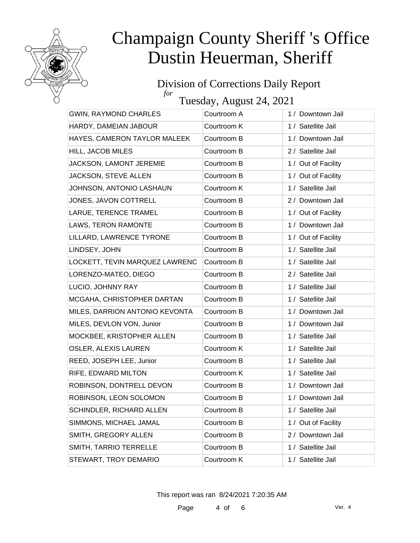

#### Division of Corrections Daily Report *for*

Tuesday, August 24, 2021

| <b>GWIN, RAYMOND CHARLES</b>   | Courtroom A | 1 / Downtown Jail   |
|--------------------------------|-------------|---------------------|
| HARDY, DAMEIAN JABOUR          | Courtroom K | 1 / Satellite Jail  |
| HAYES, CAMERON TAYLOR MALEEK   | Courtroom B | 1 / Downtown Jail   |
| HILL, JACOB MILES              | Courtroom B | 2 / Satellite Jail  |
| JACKSON, LAMONT JEREMIE        | Courtroom B | 1 / Out of Facility |
| JACKSON, STEVE ALLEN           | Courtroom B | 1 / Out of Facility |
| JOHNSON, ANTONIO LASHAUN       | Courtroom K | 1 / Satellite Jail  |
| JONES, JAVON COTTRELL          | Courtroom B | 2 / Downtown Jail   |
| LARUE, TERENCE TRAMEL          | Courtroom B | 1 / Out of Facility |
| LAWS, TERON RAMONTE            | Courtroom B | 1 / Downtown Jail   |
| LILLARD, LAWRENCE TYRONE       | Courtroom B | 1 / Out of Facility |
| LINDSEY, JOHN                  | Courtroom B | 1 / Satellite Jail  |
| LOCKETT, TEVIN MARQUEZ LAWRENC | Courtroom B | 1 / Satellite Jail  |
| LORENZO-MATEO, DIEGO           | Courtroom B | 2 / Satellite Jail  |
| LUCIO, JOHNNY RAY              | Courtroom B | 1 / Satellite Jail  |
| MCGAHA, CHRISTOPHER DARTAN     | Courtroom B | 1 / Satellite Jail  |
| MILES, DARRION ANTONIO KEVONTA | Courtroom B | 1 / Downtown Jail   |
| MILES, DEVLON VON, Junior      | Courtroom B | 1 / Downtown Jail   |
| MOCKBEE, KRISTOPHER ALLEN      | Courtroom B | 1 / Satellite Jail  |
| OSLER, ALEXIS LAUREN           | Courtroom K | 1 / Satellite Jail  |
| REED, JOSEPH LEE, Junior       | Courtroom B | 1 / Satellite Jail  |
| RIFE, EDWARD MILTON            | Courtroom K | 1 / Satellite Jail  |
| ROBINSON, DONTRELL DEVON       | Courtroom B | 1 / Downtown Jail   |
| ROBINSON, LEON SOLOMON         | Courtroom B | 1 / Downtown Jail   |
| SCHINDLER, RICHARD ALLEN       | Courtroom B | 1 / Satellite Jail  |
| SIMMONS, MICHAEL JAMAL         | Courtroom B | 1 / Out of Facility |
| SMITH, GREGORY ALLEN           | Courtroom B | 2 / Downtown Jail   |
| SMITH, TARRIO TERRELLE         | Courtroom B | 1 / Satellite Jail  |
| STEWART, TROY DEMARIO          | Courtroom K | 1 / Satellite Jail  |

This report was ran 8/24/2021 7:20:35 AM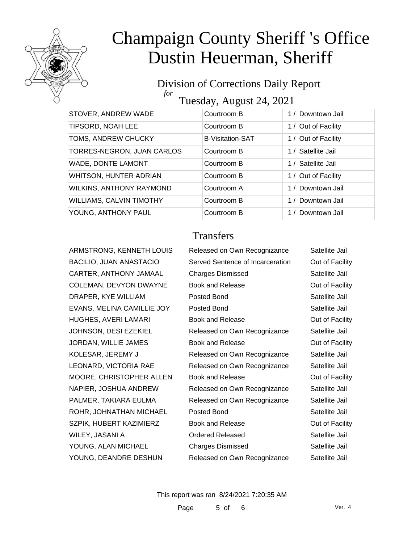

#### Division of Corrections Daily Report *for* Tuesday, August 24, 2021

| STOVER, ANDREW WADE             | Courtroom B             | 1 / Downtown Jail   |
|---------------------------------|-------------------------|---------------------|
| TIPSORD, NOAH LEE               | Courtroom B             | 1 / Out of Facility |
| TOMS, ANDREW CHUCKY             | <b>B-Visitation-SAT</b> | 1 / Out of Facility |
| TORRES-NEGRON, JUAN CARLOS      | Courtroom B             | 1 / Satellite Jail  |
| WADE, DONTE LAMONT              | Courtroom B             | 1 / Satellite Jail  |
| WHITSON, HUNTER ADRIAN          | Courtroom B             | 1 / Out of Facility |
| WILKINS, ANTHONY RAYMOND        | Courtroom A             | 1 / Downtown Jail   |
| <b>WILLIAMS, CALVIN TIMOTHY</b> | Courtroom B             | 1 / Downtown Jail   |
| YOUNG, ANTHONY PAUL             | Courtroom B             | 1 / Downtown Jail   |
|                                 |                         |                     |

#### **Transfers**

| ARMSTRONG, KENNETH LOUIS   | Released on Own Recognizance     | Satellite Jail  |
|----------------------------|----------------------------------|-----------------|
| BACILIO, JUAN ANASTACIO    | Served Sentence of Incarceration | Out of Facility |
| CARTER, ANTHONY JAMAAL     | <b>Charges Dismissed</b>         | Satellite Jail  |
| COLEMAN, DEVYON DWAYNE     | <b>Book and Release</b>          | Out of Facility |
| DRAPER, KYE WILLIAM        | Posted Bond                      | Satellite Jail  |
| EVANS, MELINA CAMILLIE JOY | Posted Bond                      | Satellite Jail  |
| HUGHES, AVERI LAMARI       | <b>Book and Release</b>          | Out of Facility |
| JOHNSON, DESI EZEKIEL      | Released on Own Recognizance     | Satellite Jail  |
| JORDAN, WILLIE JAMES       | <b>Book and Release</b>          | Out of Facility |
| KOLESAR, JEREMY J          | Released on Own Recognizance     | Satellite Jail  |
| LEONARD, VICTORIA RAE      | Released on Own Recognizance     | Satellite Jail  |
| MOORE, CHRISTOPHER ALLEN   | <b>Book and Release</b>          | Out of Facility |
| NAPIER, JOSHUA ANDREW      | Released on Own Recognizance     | Satellite Jail  |
| PALMER, TAKIARA EULMA      | Released on Own Recognizance     | Satellite Jail  |
| ROHR, JOHNATHAN MICHAEL    | Posted Bond                      | Satellite Jail  |
| SZPIK, HUBERT KAZIMIERZ    | Book and Release                 | Out of Facility |
| WILEY, JASANI A            | <b>Ordered Released</b>          | Satellite Jail  |
| YOUNG, ALAN MICHAEL        | <b>Charges Dismissed</b>         | Satellite Jail  |
| YOUNG, DEANDRE DESHUN      | Released on Own Recognizance     | Satellite Jail  |